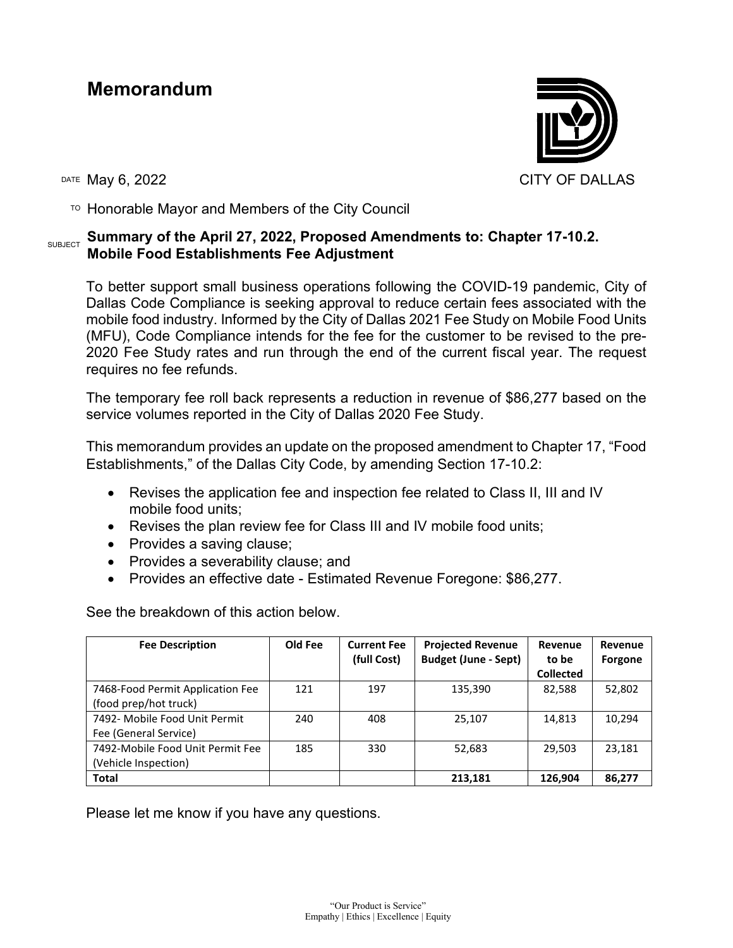## **Memorandum**



 $T$ <sup>O</sup> Honorable Mayor and Members of the City Council

## **SUBJECT** Summary of the April 27, 2022, Proposed Amendments to: Chapter 17-10.2. **Mobile Food Establishments Fee Adjustment**

To better support small business operations following the COVID-19 pandemic, City of Dallas Code Compliance is seeking approval to reduce certain fees associated with the mobile food industry. Informed by the City of Dallas 2021 Fee Study on Mobile Food Units (MFU), Code Compliance intends for the fee for the customer to be revised to the pre-2020 Fee Study rates and run through the end of the current fiscal year. The request requires no fee refunds.

The temporary fee roll back represents a reduction in revenue of \$86,277 based on the service volumes reported in the City of Dallas 2020 Fee Study.

This memorandum provides an update on the proposed amendment to Chapter 17, "Food Establishments," of the Dallas City Code, by amending Section 17-10.2:

- Revises the application fee and inspection fee related to Class II, III and IV mobile food units;
- Revises the plan review fee for Class III and IV mobile food units;
- Provides a saving clause;
- Provides a severability clause; and
- Provides an effective date Estimated Revenue Foregone: \$86,277.

See the breakdown of this action below.

| <b>Fee Description</b>           | Old Fee | <b>Current Fee</b><br>(full Cost) | <b>Projected Revenue</b><br><b>Budget (June - Sept)</b> | Revenue<br>to be | Revenue<br>Forgone |
|----------------------------------|---------|-----------------------------------|---------------------------------------------------------|------------------|--------------------|
|                                  |         |                                   |                                                         | <b>Collected</b> |                    |
| 7468-Food Permit Application Fee | 121     | 197                               | 135,390                                                 | 82,588           | 52,802             |
| (food prep/hot truck)            |         |                                   |                                                         |                  |                    |
| 7492- Mobile Food Unit Permit    | 240     | 408                               | 25,107                                                  | 14,813           | 10,294             |
| Fee (General Service)            |         |                                   |                                                         |                  |                    |
| 7492-Mobile Food Unit Permit Fee | 185     | 330                               | 52,683                                                  | 29.503           | 23,181             |
| (Vehicle Inspection)             |         |                                   |                                                         |                  |                    |
| <b>Total</b>                     |         |                                   | 213,181                                                 | 126.904          | 86,277             |

Please let me know if you have any questions.